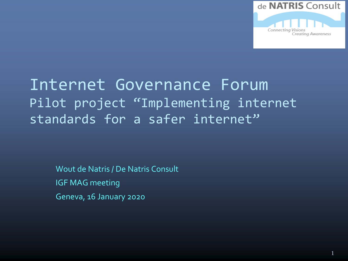

#### Internet Governance Forum Pilot project "Implementing internet standards for a safer internet"

Wout de Natris / De Natris Consult IGF MAG meeting Geneva, 16 January 2020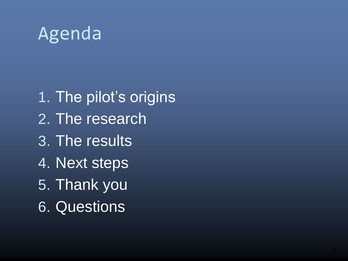## Agenda

1. The pilot's origins 2. The research 3. The results 4. Next steps 5. Thank you 6. Questions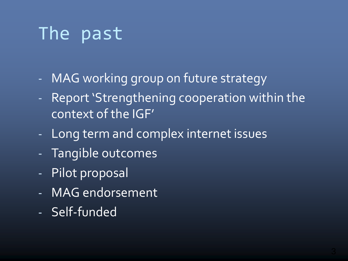# The past

- MAG working group on future strategy
- Report 'Strengthening cooperation within the context of the IGF'
- Long term and complex internet issues
- Tangible outcomes
- Pilot proposal
- MAG endorsement
- Self-funded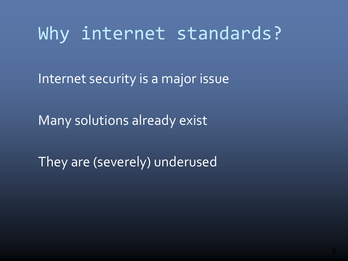## Why internet standards?

Internet security is a major issue

Many solutions already exist

They are (severely) underused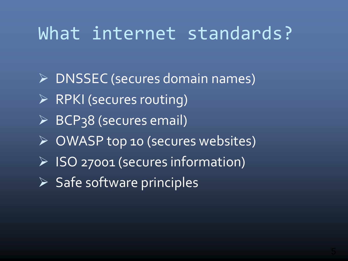## What internet standards?

 DNSSEC (secures domain names)  $\triangleright$  RPKI (secures routing)  $\triangleright$  BCP38 (secures email) OWASP top 10 (secures websites) ISO 27001 (secures information)  $\triangleright$  Safe software principles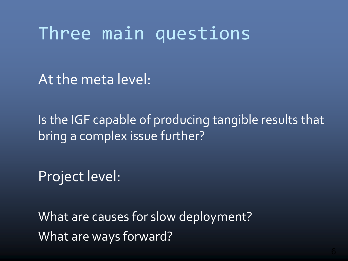#### Three main questions

At the meta level:

Is the IGF capable of producing tangible results that bring a complex issue further?

Project level:

What are causes for slow deployment? What are ways forward?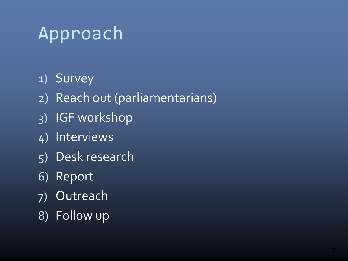#### Approach

#### 1) Survey

- 2) Reach out (parliamentarians)
- 3) IGF workshop
- 4) Interviews
- 5) Desk research
- 6) Report
- 7) Outreach
- 8) Follow up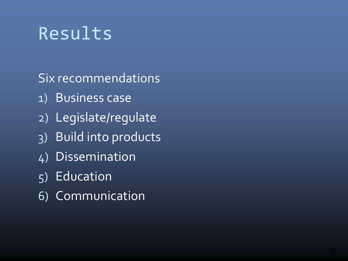## Results

Six recommendations

- 1) Business case
- 2) Legislate/regulate
- 3) Build into products
- 4) Dissemination
- 5) Education
- 6) Communication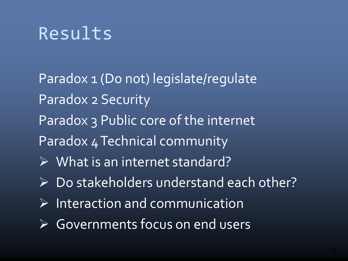#### Results

Paradox 1 (Do not) legislate/regulate Paradox 2 Security Paradox 3 Public core of the internet Paradox 4 Technical community What is an internet standard? Do stakeholders understand each other? Interaction and communication

Governments focus on end users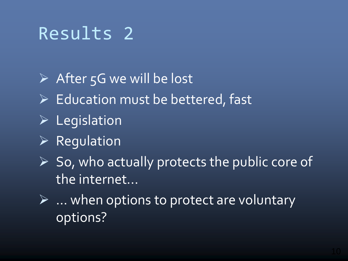## Results 2

 $\triangleright$  After 5G we will be lost  $\triangleright$  Education must be bettered, fast  $\triangleright$  Legislation  $\triangleright$  Regulation  $\triangleright$  So, who actually protects the public core of the internet...

 $\triangleright$  ... when options to protect are voluntary options?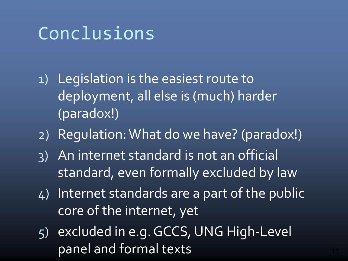## Conclusions

- 1) Legislation is the easiest route to deployment, all else is (much) harder (paradox!)
- 2) Regulation: What do we have? (paradox!)
- 3) An internet standard is not an official standard, even formally excluded by law
- 4) Internet standards are a part of the public core of the internet, yet
- 5) excluded in e.g. GCCS, UNG High-Level panel and formal texts <sup>11</sup>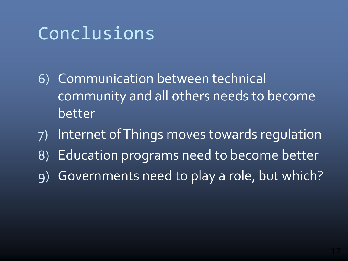# Conclusions

- 6) Communication between technical community and all others needs to become better
- 7) Internet of Things moves towards regulation 8) Education programs need to become better
- 9) Governments need to play a role, but which?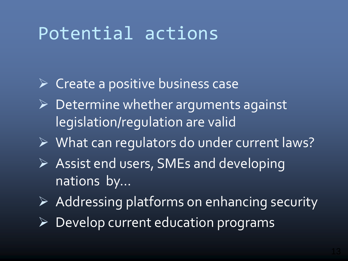## Potential actions

- $\triangleright$  Create a positive business case
- Determine whether arguments against legislation/regulation are valid
- ▶ What can regulators do under current laws?
- $\triangleright$  Assist end users, SMEs and developing nations by…
- $\triangleright$  Addressing platforms on enhancing security
- $\triangleright$  Develop current education programs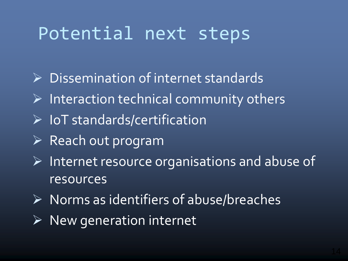## Potential next steps

- $\triangleright$  Dissemination of internet standards
- $\triangleright$  Interaction technical community others
- $\triangleright$  IoT standards/certification
- $\triangleright$  Reach out program
- $\triangleright$  Internet resource organisations and abuse of resources
- $\triangleright$  Norms as identifiers of abuse/breaches
- $\triangleright$  New generation internet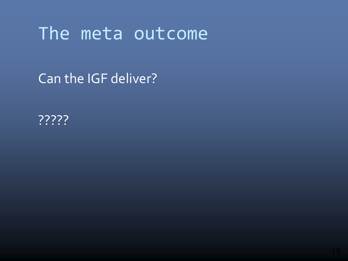#### The meta outcome

Can the IGF deliver?

<u>?????</u>?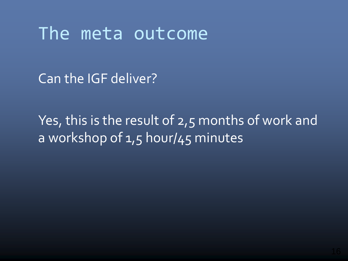#### The meta outcome

Can the IGF deliver?

Yes, this is the result of 2,5 months of work and a workshop of 1,5 hour/45 minutes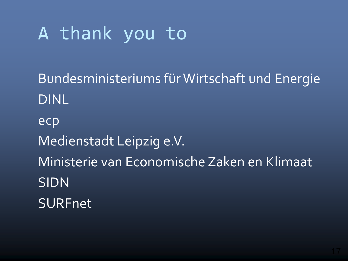# A thank you to

Bundesministeriums fürWirtschaft und Energie DINL ecp Medienstadt Leipzig e.V. Ministerie van Economische Zaken en Klimaat SIDN **SURFnet**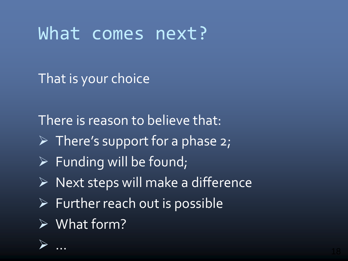#### What comes next?

That is your choice

There is reason to believe that:

- $\triangleright$  There's support for a phase 2;
- $\triangleright$  Funding will be found;
- $\triangleright$  Next steps will make a difference
- $\triangleright$  Further reach out is possible
- What form?